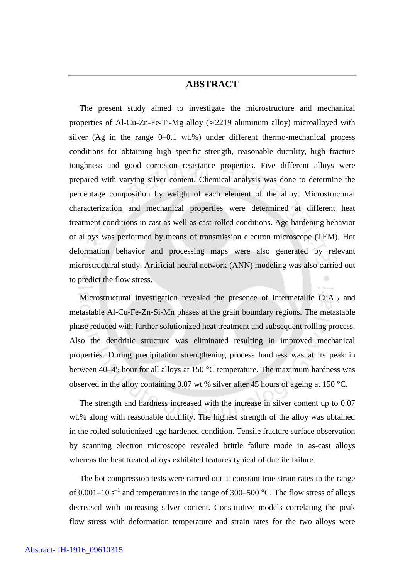## **ABSTRACT**

 The present study aimed to investigate the microstructure and mechanical properties of Al-Cu-Zn-Fe-Ti-Mg alloy ( $\approx$ 2219 aluminum alloy) microalloyed with silver (Ag in the range 0–0.1 wt.%) under different thermo-mechanical process conditions for obtaining high specific strength, reasonable ductility, high fracture toughness and good corrosion resistance properties. Five different alloys were prepared with varying silver content. Chemical analysis was done to determine the percentage composition by weight of each element of the alloy. Microstructural characterization and mechanical properties were determined at different heat treatment conditions in cast as well as cast-rolled conditions. Age hardening behavior of alloys was performed by means of transmission electron microscope (TEM). Hot deformation behavior and processing maps were also generated by relevant microstructural study. Artificial neural network (ANN) modeling was also carried out to predict the flow stress.

Microstructural investigation revealed the presence of intermetallic  $CuAl<sub>2</sub>$  and metastable Al-Cu-Fe-Zn-Si-Mn phases at the grain boundary regions. The metastable phase reduced with further solutionized heat treatment and subsequent rolling process. Also the dendritic structure was eliminated resulting in improved mechanical properties. During precipitation strengthening process hardness was at its peak in between 40–45 hour for all alloys at 150 °C temperature. The maximum hardness was observed in the alloy containing 0.07 wt.% silver after 45 hours of ageing at 150 °C.

 The strength and hardness increased with the increase in silver content up to 0.07 wt.% along with reasonable ductility. The highest strength of the alloy was obtained in the rolled-solutionized-age hardened condition. Tensile fracture surface observation by scanning electron microscope revealed brittle failure mode in as-cast alloys whereas the heat treated alloys exhibited features typical of ductile failure.

 The hot compression tests were carried out at constant true strain rates in the range of 0.001–10  $s^{-1}$  and temperatures in the range of 300–500 °C. The flow stress of alloys decreased with increasing silver content. Constitutive models correlating the peak flow stress with deformation temperature and strain rates for the two alloys were